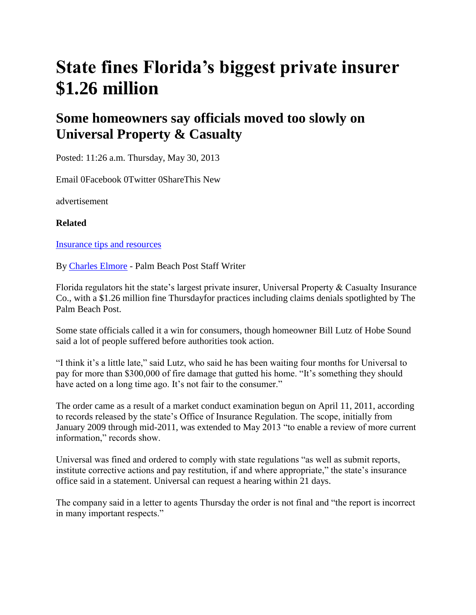## **State fines Florida's biggest private insurer \$1.26 million**

## **Some homeowners say officials moved too slowly on Universal Property & Casualty**

Posted: 11:26 a.m. Thursday, May 30, 2013

Email 0Facebook 0Twitter 0ShareThis New

advertisement

**Related**

[Insurance tips and resources](http://blogs.palmbeachpost.com/eyeonthestorm/insurance/)

By [Charles Elmore](http://www.palmbeachpost.com/staff/charles-elmore/) - Palm Beach Post Staff Writer

Florida regulators hit the state's largest private insurer, Universal Property & Casualty Insurance Co., with a \$1.26 million fine Thursdayfor practices including claims denials spotlighted by The Palm Beach Post.

Some state officials called it a win for consumers, though homeowner Bill Lutz of Hobe Sound said a lot of people suffered before authorities took action.

"I think it's a little late," said Lutz, who said he has been waiting four months for Universal to pay for more than \$300,000 of fire damage that gutted his home. "It's something they should have acted on a long time ago. It's not fair to the consumer."

The order came as a result of a market conduct examination begun on April 11, 2011, according to records released by the state's Office of Insurance Regulation. The scope, initially from January 2009 through mid-2011, was extended to May 2013 "to enable a review of more current information," records show.

Universal was fined and ordered to comply with state regulations "as well as submit reports, institute corrective actions and pay restitution, if and where appropriate," the state's insurance office said in a statement. Universal can request a hearing within 21 days.

The company said in a letter to agents Thursday the order is not final and "the report is incorrect in many important respects."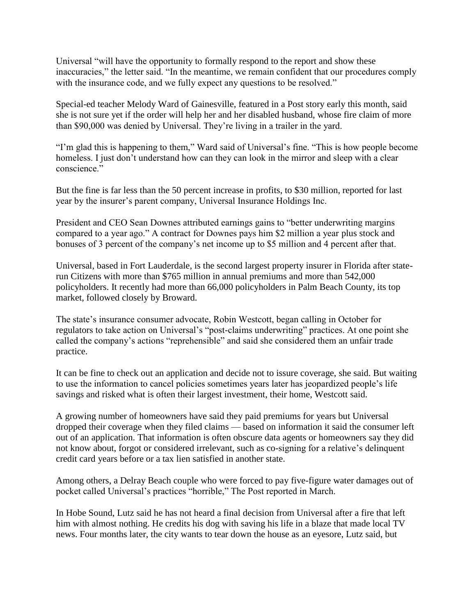Universal "will have the opportunity to formally respond to the report and show these inaccuracies," the letter said. "In the meantime, we remain confident that our procedures comply with the insurance code, and we fully expect any questions to be resolved."

Special-ed teacher Melody Ward of Gainesville, featured in a Post story early this month, said she is not sure yet if the order will help her and her disabled husband, whose fire claim of more than \$90,000 was denied by Universal. They're living in a trailer in the yard.

"I'm glad this is happening to them," Ward said of Universal's fine. "This is how people become homeless. I just don't understand how can they can look in the mirror and sleep with a clear conscience."

But the fine is far less than the 50 percent increase in profits, to \$30 million, reported for last year by the insurer's parent company, Universal Insurance Holdings Inc.

President and CEO Sean Downes attributed earnings gains to "better underwriting margins compared to a year ago." A contract for Downes pays him \$2 million a year plus stock and bonuses of 3 percent of the company's net income up to \$5 million and 4 percent after that.

Universal, based in Fort Lauderdale, is the second largest property insurer in Florida after staterun Citizens with more than \$765 million in annual premiums and more than 542,000 policyholders. It recently had more than 66,000 policyholders in Palm Beach County, its top market, followed closely by Broward.

The state's insurance consumer advocate, Robin Westcott, began calling in October for regulators to take action on Universal's "post-claims underwriting" practices. At one point she called the company's actions "reprehensible" and said she considered them an unfair trade practice.

It can be fine to check out an application and decide not to issure coverage, she said. But waiting to use the information to cancel policies sometimes years later has jeopardized people's life savings and risked what is often their largest investment, their home, Westcott said.

A growing number of homeowners have said they paid premiums for years but Universal dropped their coverage when they filed claims — based on information it said the consumer left out of an application. That information is often obscure data agents or homeowners say they did not know about, forgot or considered irrelevant, such as co-signing for a relative's delinquent credit card years before or a tax lien satisfied in another state.

Among others, a Delray Beach couple who were forced to pay five-figure water damages out of pocket called Universal's practices "horrible," The Post reported in March.

In Hobe Sound, Lutz said he has not heard a final decision from Universal after a fire that left him with almost nothing. He credits his dog with saving his life in a blaze that made local TV news. Four months later, the city wants to tear down the house as an eyesore, Lutz said, but